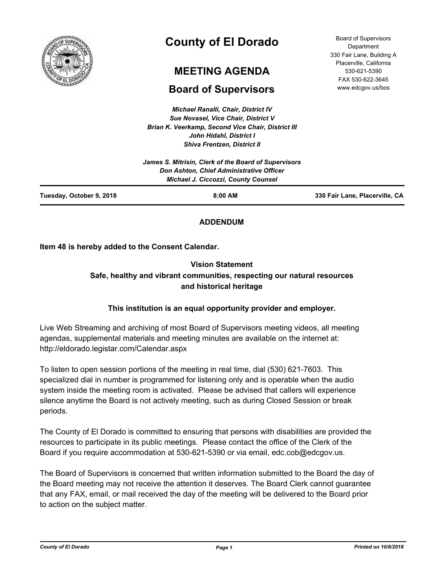

# **County of El Dorado**

# **MEETING AGENDA**

## **Board of Supervisors**

*Michael Ranalli, Chair, District IV Sue Novasel, Vice Chair, District V Brian K. Veerkamp, Second Vice Chair, District III John Hidahl, District I Shiva Frentzen, District II*

| Tuesday, October 9, 2018 | 8:00 AM                                                                                       | 330 Fair Lane, Placerville, CA |
|--------------------------|-----------------------------------------------------------------------------------------------|--------------------------------|
|                          | <b>Don Ashton, Chief Administrative Officer</b><br><b>Michael J. Ciccozzi, County Counsel</b> |                                |
|                          | James S. Mitrisin, Clerk of the Board of Supervisors                                          |                                |

## **ADDENDUM**

**Item 48 is hereby added to the Consent Calendar.**

## **Vision Statement Safe, healthy and vibrant communities, respecting our natural resources and historical heritage**

## **This institution is an equal opportunity provider and employer.**

Live Web Streaming and archiving of most Board of Supervisors meeting videos, all meeting agendas, supplemental materials and meeting minutes are available on the internet at: http://eldorado.legistar.com/Calendar.aspx

To listen to open session portions of the meeting in real time, dial (530) 621-7603. This specialized dial in number is programmed for listening only and is operable when the audio system inside the meeting room is activated. Please be advised that callers will experience silence anytime the Board is not actively meeting, such as during Closed Session or break periods.

The County of El Dorado is committed to ensuring that persons with disabilities are provided the resources to participate in its public meetings. Please contact the office of the Clerk of the Board if you require accommodation at 530-621-5390 or via email, edc.cob@edcgov.us.

The Board of Supervisors is concerned that written information submitted to the Board the day of the Board meeting may not receive the attention it deserves. The Board Clerk cannot guarantee that any FAX, email, or mail received the day of the meeting will be delivered to the Board prior to action on the subject matter.

*County of El Dorado Page 1 Printed on 10/8/2018*

Board of Supervisors **Department** 330 Fair Lane, Building A Placerville, California 530-621-5390 FAX 530-622-3645 www.edcgov.us/bos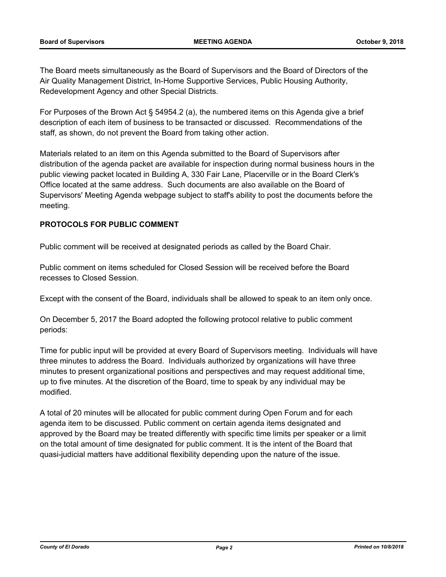The Board meets simultaneously as the Board of Supervisors and the Board of Directors of the Air Quality Management District, In-Home Supportive Services, Public Housing Authority, Redevelopment Agency and other Special Districts.

For Purposes of the Brown Act § 54954.2 (a), the numbered items on this Agenda give a brief description of each item of business to be transacted or discussed. Recommendations of the staff, as shown, do not prevent the Board from taking other action.

Materials related to an item on this Agenda submitted to the Board of Supervisors after distribution of the agenda packet are available for inspection during normal business hours in the public viewing packet located in Building A, 330 Fair Lane, Placerville or in the Board Clerk's Office located at the same address. Such documents are also available on the Board of Supervisors' Meeting Agenda webpage subject to staff's ability to post the documents before the meeting.

## **PROTOCOLS FOR PUBLIC COMMENT**

Public comment will be received at designated periods as called by the Board Chair.

Public comment on items scheduled for Closed Session will be received before the Board recesses to Closed Session.

Except with the consent of the Board, individuals shall be allowed to speak to an item only once.

On December 5, 2017 the Board adopted the following protocol relative to public comment periods:

Time for public input will be provided at every Board of Supervisors meeting. Individuals will have three minutes to address the Board. Individuals authorized by organizations will have three minutes to present organizational positions and perspectives and may request additional time, up to five minutes. At the discretion of the Board, time to speak by any individual may be modified.

A total of 20 minutes will be allocated for public comment during Open Forum and for each agenda item to be discussed. Public comment on certain agenda items designated and approved by the Board may be treated differently with specific time limits per speaker or a limit on the total amount of time designated for public comment. It is the intent of the Board that quasi-judicial matters have additional flexibility depending upon the nature of the issue.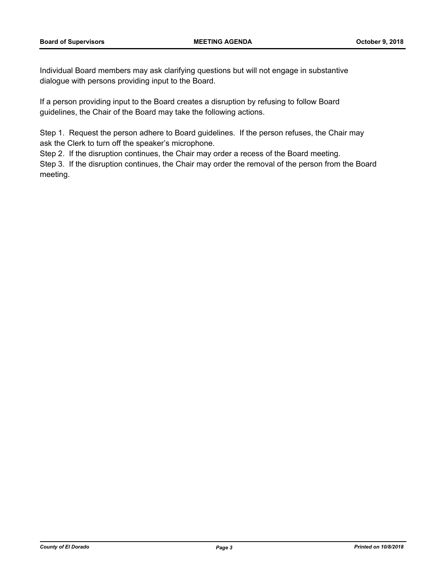Individual Board members may ask clarifying questions but will not engage in substantive dialogue with persons providing input to the Board.

If a person providing input to the Board creates a disruption by refusing to follow Board guidelines, the Chair of the Board may take the following actions.

Step 1. Request the person adhere to Board guidelines. If the person refuses, the Chair may ask the Clerk to turn off the speaker's microphone.

Step 2. If the disruption continues, the Chair may order a recess of the Board meeting.

Step 3. If the disruption continues, the Chair may order the removal of the person from the Board meeting.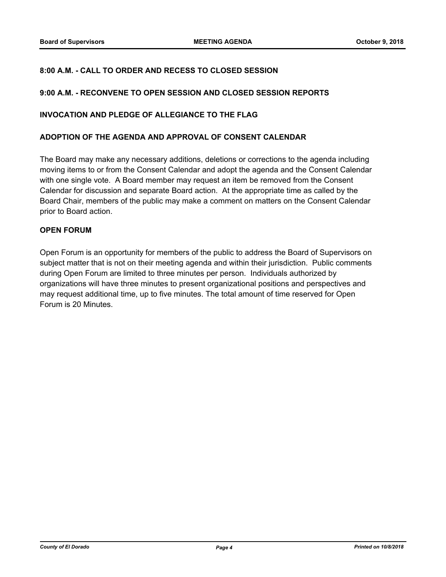## **8:00 A.M. - CALL TO ORDER AND RECESS TO CLOSED SESSION**

## **9:00 A.M. - RECONVENE TO OPEN SESSION AND CLOSED SESSION REPORTS**

#### **INVOCATION AND PLEDGE OF ALLEGIANCE TO THE FLAG**

#### **ADOPTION OF THE AGENDA AND APPROVAL OF CONSENT CALENDAR**

The Board may make any necessary additions, deletions or corrections to the agenda including moving items to or from the Consent Calendar and adopt the agenda and the Consent Calendar with one single vote. A Board member may request an item be removed from the Consent Calendar for discussion and separate Board action. At the appropriate time as called by the Board Chair, members of the public may make a comment on matters on the Consent Calendar prior to Board action.

## **OPEN FORUM**

Open Forum is an opportunity for members of the public to address the Board of Supervisors on subject matter that is not on their meeting agenda and within their jurisdiction. Public comments during Open Forum are limited to three minutes per person. Individuals authorized by organizations will have three minutes to present organizational positions and perspectives and may request additional time, up to five minutes. The total amount of time reserved for Open Forum is 20 Minutes.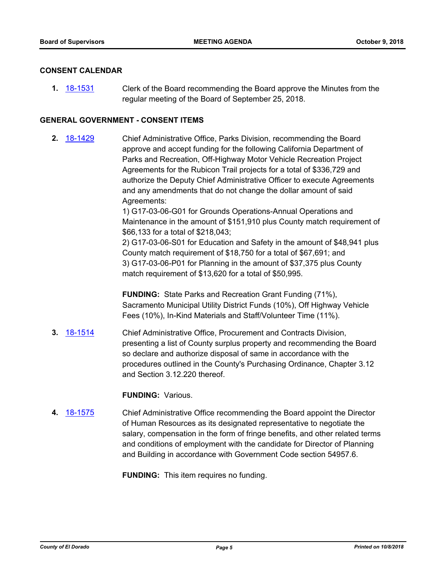#### **CONSENT CALENDAR**

**1.** [18-1531](http://eldorado.legistar.com/gateway.aspx?m=l&id=/matter.aspx?key=24882) Clerk of the Board recommending the Board approve the Minutes from the regular meeting of the Board of September 25, 2018.

## **GENERAL GOVERNMENT - CONSENT ITEMS**

**2.** [18-1429](http://eldorado.legistar.com/gateway.aspx?m=l&id=/matter.aspx?key=24781) Chief Administrative Office, Parks Division, recommending the Board approve and accept funding for the following California Department of Parks and Recreation, Off-Highway Motor Vehicle Recreation Project Agreements for the Rubicon Trail projects for a total of \$336,729 and authorize the Deputy Chief Administrative Officer to execute Agreements and any amendments that do not change the dollar amount of said Agreements:

> 1) G17-03-06-G01 for Grounds Operations-Annual Operations and Maintenance in the amount of \$151,910 plus County match requirement of \$66,133 for a total of \$218,043;

> 2) G17-03-06-S01 for Education and Safety in the amount of \$48,941 plus County match requirement of \$18,750 for a total of \$67,691; and 3) G17-03-06-P01 for Planning in the amount of \$37,375 plus County match requirement of \$13,620 for a total of \$50,995.

**FUNDING:** State Parks and Recreation Grant Funding (71%), Sacramento Municipal Utility District Funds (10%), Off Highway Vehicle Fees (10%), In-Kind Materials and Staff/Volunteer Time (11%).

**3.** [18-1514](http://eldorado.legistar.com/gateway.aspx?m=l&id=/matter.aspx?key=24865) Chief Administrative Office, Procurement and Contracts Division, presenting a list of County surplus property and recommending the Board so declare and authorize disposal of same in accordance with the procedures outlined in the County's Purchasing Ordinance, Chapter 3.12 and Section 3.12.220 thereof.

#### **FUNDING:** Various.

**4.** [18-1575](http://eldorado.legistar.com/gateway.aspx?m=l&id=/matter.aspx?key=24926) Chief Administrative Office recommending the Board appoint the Director of Human Resources as its designated representative to negotiate the salary, compensation in the form of fringe benefits, and other related terms and conditions of employment with the candidate for Director of Planning and Building in accordance with Government Code section 54957.6.

**FUNDING:** This item requires no funding.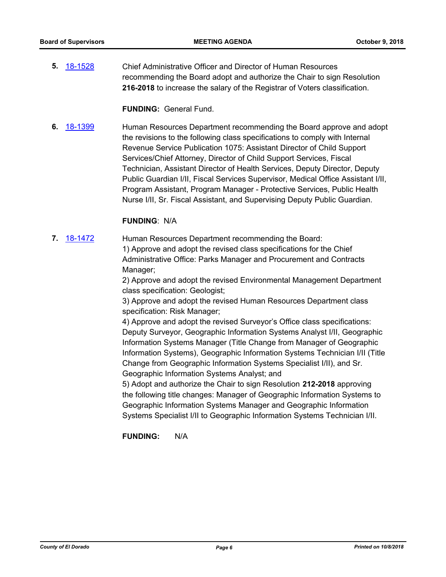**5.** [18-1528](http://eldorado.legistar.com/gateway.aspx?m=l&id=/matter.aspx?key=24879) Chief Administrative Officer and Director of Human Resources recommending the Board adopt and authorize the Chair to sign Resolution **216-2018** to increase the salary of the Registrar of Voters classification.

**FUNDING:** General Fund.

**6.** [18-1399](http://eldorado.legistar.com/gateway.aspx?m=l&id=/matter.aspx?key=24751) Human Resources Department recommending the Board approve and adopt the revisions to the following class specifications to comply with Internal Revenue Service Publication 1075: Assistant Director of Child Support Services/Chief Attorney, Director of Child Support Services, Fiscal Technician, Assistant Director of Health Services, Deputy Director, Deputy Public Guardian I/II, Fiscal Services Supervisor, Medical Office Assistant I/II, Program Assistant, Program Manager - Protective Services, Public Health Nurse I/II, Sr. Fiscal Assistant, and Supervising Deputy Public Guardian.

## **FUNDING**: N/A

- **7.** [18-1472](http://eldorado.legistar.com/gateway.aspx?m=l&id=/matter.aspx?key=24823) Human Resources Department recommending the Board: 1) Approve and adopt the revised class specifications for the Chief Administrative Office: Parks Manager and Procurement and Contracts
	- Manager;

2) Approve and adopt the revised Environmental Management Department class specification: Geologist;

3) Approve and adopt the revised Human Resources Department class specification: Risk Manager;

4) Approve and adopt the revised Surveyor's Office class specifications: Deputy Surveyor, Geographic Information Systems Analyst I/II, Geographic Information Systems Manager (Title Change from Manager of Geographic Information Systems), Geographic Information Systems Technician I/II (Title Change from Geographic Information Systems Specialist I/II), and Sr. Geographic Information Systems Analyst; and

5) Adopt and authorize the Chair to sign Resolution **212-2018** approving the following title changes: Manager of Geographic Information Systems to Geographic Information Systems Manager and Geographic Information Systems Specialist I/II to Geographic Information Systems Technician I/II.

**FUNDING:** N/A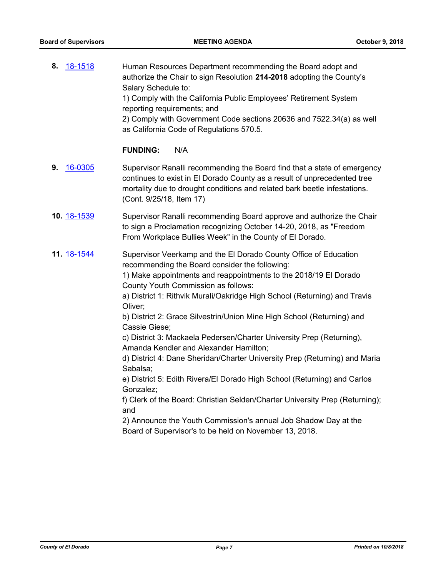| Human Resources Department recommending the Board adopt and                                                      |
|------------------------------------------------------------------------------------------------------------------|
| authorize the Chair to sign Resolution 214-2018 adopting the County's                                            |
| Salary Schedule to:                                                                                              |
| 1) Comply with the California Public Employees' Retirement System<br>reporting requirements; and                 |
| 2) Comply with Government Code sections 20636 and 7522.34(a) as well<br>as California Code of Regulations 570.5. |
| 8. 18-1518                                                                                                       |

## **FUNDING:** N/A

- **9.** [16-0305](http://eldorado.legistar.com/gateway.aspx?m=l&id=/matter.aspx?key=20961) Supervisor Ranalli recommending the Board find that a state of emergency continues to exist in El Dorado County as a result of unprecedented tree mortality due to drought conditions and related bark beetle infestations. (Cont. 9/25/18, Item 17)
- **10.** [18-1539](http://eldorado.legistar.com/gateway.aspx?m=l&id=/matter.aspx?key=24890) Supervisor Ranalli recommending Board approve and authorize the Chair to sign a Proclamation recognizing October 14-20, 2018, as "Freedom From Workplace Bullies Week" in the County of El Dorado.
- **11.** [18-1544](http://eldorado.legistar.com/gateway.aspx?m=l&id=/matter.aspx?key=24895) Supervisor Veerkamp and the El Dorado County Office of Education recommending the Board consider the following:

1) Make appointments and reappointments to the 2018/19 El Dorado County Youth Commission as follows:

a) District 1: Rithvik Murali/Oakridge High School (Returning) and Travis Oliver;

b) District 2: Grace Silvestrin/Union Mine High School (Returning) and Cassie Giese;

c) District 3: Mackaela Pedersen/Charter University Prep (Returning), Amanda Kendler and Alexander Hamilton;

d) District 4: Dane Sheridan/Charter University Prep (Returning) and Maria Sabalsa;

e) District 5: Edith Rivera/El Dorado High School (Returning) and Carlos Gonzalez;

f) Clerk of the Board: Christian Selden/Charter University Prep (Returning); and

2) Announce the Youth Commission's annual Job Shadow Day at the Board of Supervisor's to be held on November 13, 2018.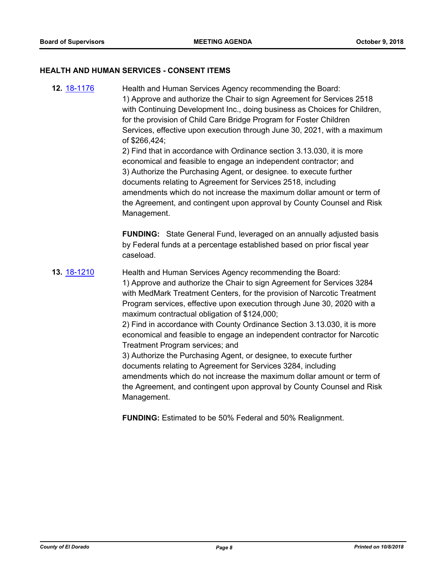#### **HEALTH AND HUMAN SERVICES - CONSENT ITEMS**

**12.** [18-1176](http://eldorado.legistar.com/gateway.aspx?m=l&id=/matter.aspx?key=24526) Health and Human Services Agency recommending the Board: 1) Approve and authorize the Chair to sign Agreement for Services 2518 with Continuing Development Inc., doing business as Choices for Children, for the provision of Child Care Bridge Program for Foster Children Services, effective upon execution through June 30, 2021, with a maximum of \$266,424; 2) Find that in accordance with Ordinance section 3.13.030, it is more

economical and feasible to engage an independent contractor; and 3) Authorize the Purchasing Agent, or designee. to execute further documents relating to Agreement for Services 2518, including amendments which do not increase the maximum dollar amount or term of the Agreement, and contingent upon approval by County Counsel and Risk Management.

**FUNDING:** State General Fund, leveraged on an annually adjusted basis by Federal funds at a percentage established based on prior fiscal year caseload.

## **13.** [18-1210](http://eldorado.legistar.com/gateway.aspx?m=l&id=/matter.aspx?key=24561) Health and Human Services Agency recommending the Board:

1) Approve and authorize the Chair to sign Agreement for Services 3284 with MedMark Treatment Centers, for the provision of Narcotic Treatment Program services, effective upon execution through June 30, 2020 with a maximum contractual obligation of \$124,000;

2) Find in accordance with County Ordinance Section 3.13.030, it is more economical and feasible to engage an independent contractor for Narcotic Treatment Program services; and

3) Authorize the Purchasing Agent, or designee, to execute further documents relating to Agreement for Services 3284, including amendments which do not increase the maximum dollar amount or term of the Agreement, and contingent upon approval by County Counsel and Risk Management.

**FUNDING:** Estimated to be 50% Federal and 50% Realignment.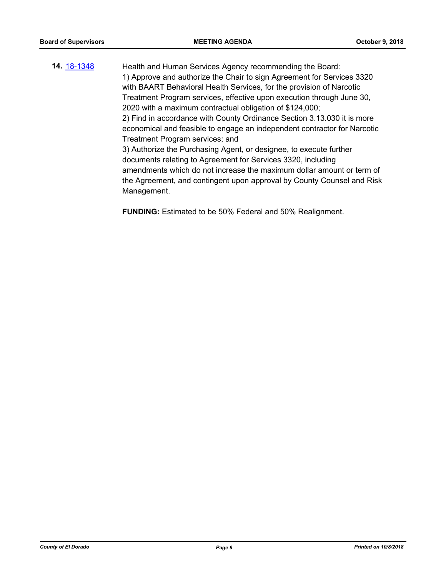**14.** [18-1348](http://eldorado.legistar.com/gateway.aspx?m=l&id=/matter.aspx?key=24699) Health and Human Services Agency recommending the Board: 1) Approve and authorize the Chair to sign Agreement for Services 3320 with BAART Behavioral Health Services, for the provision of Narcotic Treatment Program services, effective upon execution through June 30, 2020 with a maximum contractual obligation of \$124,000; 2) Find in accordance with County Ordinance Section 3.13.030 it is more economical and feasible to engage an independent contractor for Narcotic Treatment Program services; and 3) Authorize the Purchasing Agent, or designee, to execute further documents relating to Agreement for Services 3320, including amendments which do not increase the maximum dollar amount or term of the Agreement, and contingent upon approval by County Counsel and Risk Management.

**FUNDING:** Estimated to be 50% Federal and 50% Realignment.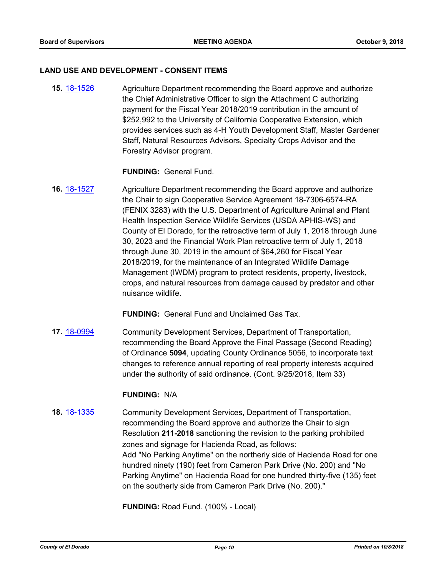#### **LAND USE AND DEVELOPMENT - CONSENT ITEMS**

**15.** [18-1526](http://eldorado.legistar.com/gateway.aspx?m=l&id=/matter.aspx?key=24877) Agriculture Department recommending the Board approve and authorize the Chief Administrative Officer to sign the Attachment C authorizing payment for the Fiscal Year 2018/2019 contribution in the amount of \$252,992 to the University of California Cooperative Extension, which provides services such as 4-H Youth Development Staff, Master Gardener Staff, Natural Resources Advisors, Specialty Crops Advisor and the Forestry Advisor program.

#### **FUNDING:** General Fund.

**16.** [18-1527](http://eldorado.legistar.com/gateway.aspx?m=l&id=/matter.aspx?key=24878) Agriculture Department recommending the Board approve and authorize the Chair to sign Cooperative Service Agreement 18-7306-6574-RA (FENIX 3283) with the U.S. Department of Agriculture Animal and Plant Health Inspection Service Wildlife Services (USDA APHIS-WS) and County of El Dorado, for the retroactive term of July 1, 2018 through June 30, 2023 and the Financial Work Plan retroactive term of July 1, 2018 through June 30, 2019 in the amount of \$64,260 for Fiscal Year 2018/2019, for the maintenance of an Integrated Wildlife Damage Management (IWDM) program to protect residents, property, livestock, crops, and natural resources from damage caused by predator and other nuisance wildlife.

**FUNDING:** General Fund and Unclaimed Gas Tax.

**17.** [18-0994](http://eldorado.legistar.com/gateway.aspx?m=l&id=/matter.aspx?key=24343) Community Development Services, Department of Transportation, recommending the Board Approve the Final Passage (Second Reading) of Ordinance **5094**, updating County Ordinance 5056, to incorporate text changes to reference annual reporting of real property interests acquired under the authority of said ordinance. (Cont. 9/25/2018, Item 33)

#### **FUNDING:** N/A

**18.** [18-1335](http://eldorado.legistar.com/gateway.aspx?m=l&id=/matter.aspx?key=24686) Community Development Services, Department of Transportation, recommending the Board approve and authorize the Chair to sign Resolution **211-2018** sanctioning the revision to the parking prohibited zones and signage for Hacienda Road, as follows: Add "No Parking Anytime" on the northerly side of Hacienda Road for one hundred ninety (190) feet from Cameron Park Drive (No. 200) and "No Parking Anytime" on Hacienda Road for one hundred thirty-five (135) feet on the southerly side from Cameron Park Drive (No. 200)."

**FUNDING:** Road Fund. (100% - Local)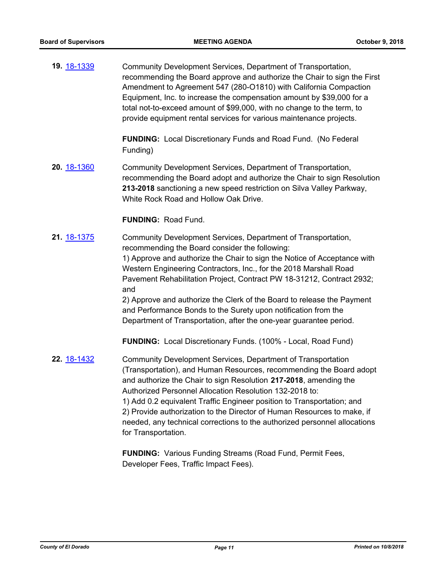**19.** [18-1339](http://eldorado.legistar.com/gateway.aspx?m=l&id=/matter.aspx?key=24690) Community Development Services, Department of Transportation, recommending the Board approve and authorize the Chair to sign the First Amendment to Agreement 547 (280-O1810) with California Compaction Equipment, Inc. to increase the compensation amount by \$39,000 for a total not-to-exceed amount of \$99,000, with no change to the term, to provide equipment rental services for various maintenance projects.

> **FUNDING:** Local Discretionary Funds and Road Fund. (No Federal Funding)

**20.** [18-1360](http://eldorado.legistar.com/gateway.aspx?m=l&id=/matter.aspx?key=24712) Community Development Services, Department of Transportation, recommending the Board adopt and authorize the Chair to sign Resolution **213-2018** sanctioning a new speed restriction on Silva Valley Parkway, White Rock Road and Hollow Oak Drive.

#### **FUNDING:** Road Fund.

**21.** [18-1375](http://eldorado.legistar.com/gateway.aspx?m=l&id=/matter.aspx?key=24727) Community Development Services, Department of Transportation, recommending the Board consider the following: 1) Approve and authorize the Chair to sign the Notice of Acceptance with Western Engineering Contractors, Inc., for the 2018 Marshall Road Pavement Rehabilitation Project, Contract PW 18-31212, Contract 2932; and 2) Approve and authorize the Clerk of the Board to release the Payment and Performance Bonds to the Surety upon notification from the Department of Transportation, after the one-year guarantee period.

**FUNDING:** Local Discretionary Funds. (100% - Local, Road Fund)

**22.** [18-1432](http://eldorado.legistar.com/gateway.aspx?m=l&id=/matter.aspx?key=24784) Community Development Services, Department of Transportation (Transportation), and Human Resources, recommending the Board adopt and authorize the Chair to sign Resolution **217-2018**, amending the Authorized Personnel Allocation Resolution 132-2018 to: 1) Add 0.2 equivalent Traffic Engineer position to Transportation; and 2) Provide authorization to the Director of Human Resources to make, if needed, any technical corrections to the authorized personnel allocations for Transportation.

> **FUNDING:** Various Funding Streams (Road Fund, Permit Fees, Developer Fees, Traffic Impact Fees).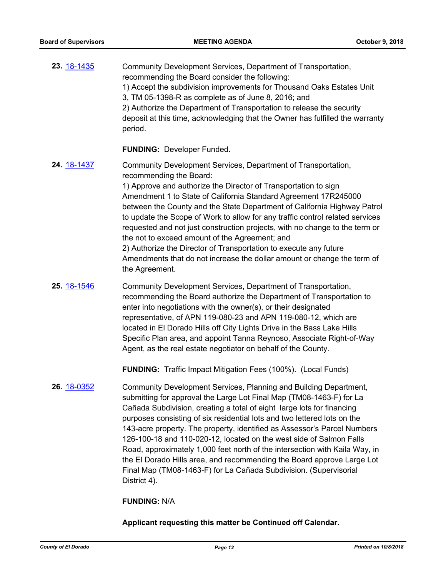| <b>23.</b> 18-1435 | Community Development Services, Department of Transportation,<br>recommending the Board consider the following:<br>1) Accept the subdivision improvements for Thousand Oaks Estates Unit<br>3, TM 05-1398-R as complete as of June 8, 2016; and<br>2) Authorize the Department of Transportation to release the security<br>deposit at this time, acknowledging that the Owner has fulfilled the warranty<br>period.                                                                                                                                                                                                                                                                           |
|--------------------|------------------------------------------------------------------------------------------------------------------------------------------------------------------------------------------------------------------------------------------------------------------------------------------------------------------------------------------------------------------------------------------------------------------------------------------------------------------------------------------------------------------------------------------------------------------------------------------------------------------------------------------------------------------------------------------------|
|                    | <b>FUNDING: Developer Funded.</b>                                                                                                                                                                                                                                                                                                                                                                                                                                                                                                                                                                                                                                                              |
| 24. 18-1437        | Community Development Services, Department of Transportation,<br>recommending the Board:<br>1) Approve and authorize the Director of Transportation to sign<br>Amendment 1 to State of California Standard Agreement 17R245000<br>between the County and the State Department of California Highway Patrol<br>to update the Scope of Work to allow for any traffic control related services<br>requested and not just construction projects, with no change to the term or<br>the not to exceed amount of the Agreement; and<br>2) Authorize the Director of Transportation to execute any future<br>Amendments that do not increase the dollar amount or change the term of<br>the Agreement. |
| <b>25.</b> 18-1546 | Community Development Services, Department of Transportation,<br>recommending the Board authorize the Department of Transportation to<br>enter into negotiations with the owner(s) or their designated                                                                                                                                                                                                                                                                                                                                                                                                                                                                                         |

enter into negotiations with the owner(s), or their designated representative, of APN 119-080-23 and APN 119-080-12, which are located in El Dorado Hills off City Lights Drive in the Bass Lake Hills Specific Plan area, and appoint Tanna Reynoso, Associate Right-of-Way Agent, as the real estate negotiator on behalf of the County.

**FUNDING:** Traffic Impact Mitigation Fees (100%). (Local Funds)

**26.** [18-0352](http://eldorado.legistar.com/gateway.aspx?m=l&id=/matter.aspx?key=23695) Community Development Services, Planning and Building Department, submitting for approval the Large Lot Final Map (TM08-1463-F) for La Cañada Subdivision, creating a total of eight large lots for financing purposes consisting of six residential lots and two lettered lots on the 143-acre property. The property, identified as Assessor's Parcel Numbers 126-100-18 and 110-020-12, located on the west side of Salmon Falls Road, approximately 1,000 feet north of the intersection with Kaila Way, in the El Dorado Hills area, and recommending the Board approve Large Lot Final Map (TM08-1463-F) for La Cañada Subdivision. (Supervisorial District 4).

#### **FUNDING:** N/A

**Applicant requesting this matter be Continued off Calendar.**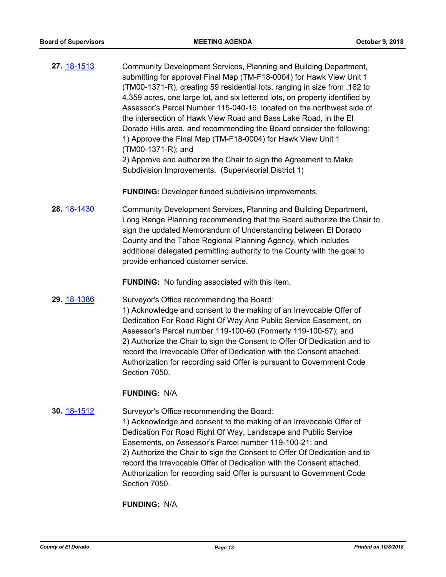**27.** [18-1513](http://eldorado.legistar.com/gateway.aspx?m=l&id=/matter.aspx?key=24864) Community Development Services, Planning and Building Department, submitting for approval Final Map (TM-F18-0004) for Hawk View Unit 1 (TM00-1371-R), creating 59 residential lots, ranging in size from .162 to 4.359 acres, one large lot, and six lettered lots, on property identified by Assessor's Parcel Number 115-040-16, located on the northwest side of the intersection of Hawk View Road and Bass Lake Road, in the El Dorado Hills area, and recommending the Board consider the following: 1) Approve the Final Map (TM-F18-0004) for Hawk View Unit 1 (TM00-1371-R); and 2) Approve and authorize the Chair to sign the Agreement to Make Subdivision Improvements. (Supervisorial District 1)

**FUNDING:** Developer funded subdivision improvements.

**28.** [18-1430](http://eldorado.legistar.com/gateway.aspx?m=l&id=/matter.aspx?key=24782) Community Development Services, Planning and Building Department, Long Range Planning recommending that the Board authorize the Chair to sign the updated Memorandum of Understanding between El Dorado County and the Tahoe Regional Planning Agency, which includes additional delegated permitting authority to the County with the goal to provide enhanced customer service.

**FUNDING:** No funding associated with this item.

**29.** [18-1386](http://eldorado.legistar.com/gateway.aspx?m=l&id=/matter.aspx?key=24738) Surveyor's Office recommending the Board: 1) Acknowledge and consent to the making of an Irrevocable Offer of Dedication For Road Right Of Way And Public Service Easement, on Assessor's Parcel number 119-100-60 (Formerly 119-100-57); and 2) Authorize the Chair to sign the Consent to Offer Of Dedication and to record the Irrevocable Offer of Dedication with the Consent attached. Authorization for recording said Offer is pursuant to Government Code Section 7050.

#### **FUNDING:** N/A

**30.** [18-1512](http://eldorado.legistar.com/gateway.aspx?m=l&id=/matter.aspx?key=24863) Surveyor's Office recommending the Board:

1) Acknowledge and consent to the making of an Irrevocable Offer of Dedication For Road Right Of Way, Landscape and Public Service Easements, on Assessor's Parcel number 119-100-21; and 2) Authorize the Chair to sign the Consent to Offer Of Dedication and to record the Irrevocable Offer of Dedication with the Consent attached. Authorization for recording said Offer is pursuant to Government Code Section 7050.

**FUNDING:** N/A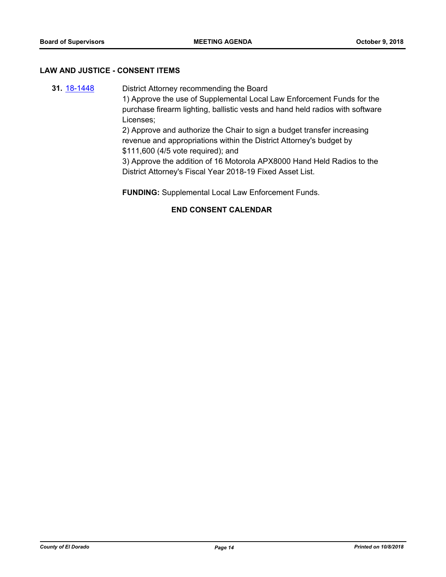#### **LAW AND JUSTICE - CONSENT ITEMS**

**31.** [18-1448](http://eldorado.legistar.com/gateway.aspx?m=l&id=/matter.aspx?key=24800) District Attorney recommending the Board 1) Approve the use of Supplemental Local Law Enforcement Funds for the purchase firearm lighting, ballistic vests and hand held radios with software Licenses; 2) Approve and authorize the Chair to sign a budget transfer increasing revenue and appropriations within the District Attorney's budget by \$111,600 (4/5 vote required); and 3) Approve the addition of 16 Motorola APX8000 Hand Held Radios to the

District Attorney's Fiscal Year 2018-19 Fixed Asset List.

**FUNDING:** Supplemental Local Law Enforcement Funds.

## **END CONSENT CALENDAR**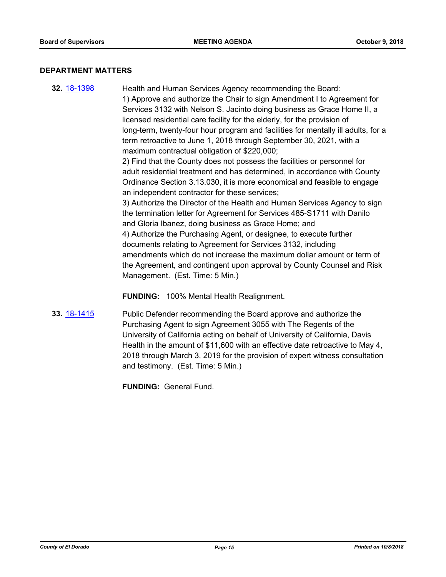#### **DEPARTMENT MATTERS**

**32.** [18-1398](http://eldorado.legistar.com/gateway.aspx?m=l&id=/matter.aspx?key=24750) Health and Human Services Agency recommending the Board: 1) Approve and authorize the Chair to sign Amendment I to Agreement for Services 3132 with Nelson S. Jacinto doing business as Grace Home II, a licensed residential care facility for the elderly, for the provision of long-term, twenty-four hour program and facilities for mentally ill adults, for a term retroactive to June 1, 2018 through September 30, 2021, with a maximum contractual obligation of \$220,000; 2) Find that the County does not possess the facilities or personnel for adult residential treatment and has determined, in accordance with County Ordinance Section 3.13.030, it is more economical and feasible to engage an independent contractor for these services; 3) Authorize the Director of the Health and Human Services Agency to sign the termination letter for Agreement for Services 485-S1711 with Danilo and Gloria Ibanez, doing business as Grace Home; and 4) Authorize the Purchasing Agent, or designee, to execute further documents relating to Agreement for Services 3132, including amendments which do not increase the maximum dollar amount or term of the Agreement, and contingent upon approval by County Counsel and Risk Management. (Est. Time: 5 Min.)

**FUNDING:** 100% Mental Health Realignment.

**33.** [18-1415](http://eldorado.legistar.com/gateway.aspx?m=l&id=/matter.aspx?key=24767) Public Defender recommending the Board approve and authorize the Purchasing Agent to sign Agreement 3055 with The Regents of the University of California acting on behalf of University of California, Davis Health in the amount of \$11,600 with an effective date retroactive to May 4, 2018 through March 3, 2019 for the provision of expert witness consultation and testimony. (Est. Time: 5 Min.)

**FUNDING:** General Fund.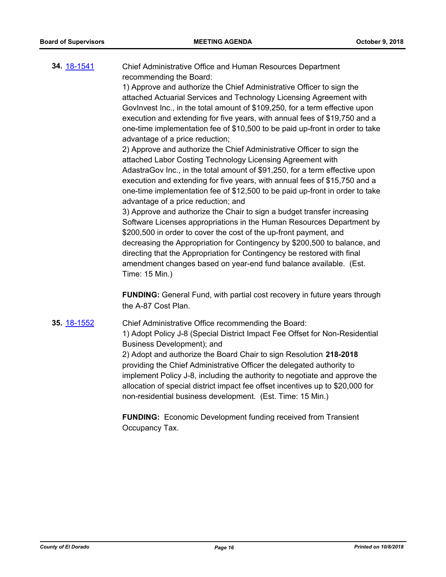**34.** [18-1541](http://eldorado.legistar.com/gateway.aspx?m=l&id=/matter.aspx?key=24892) Chief Administrative Office and Human Resources Department recommending the Board:

1) Approve and authorize the Chief Administrative Officer to sign the attached Actuarial Services and Technology Licensing Agreement with GovInvest Inc., in the total amount of \$109,250, for a term effective upon execution and extending for five years, with annual fees of \$19,750 and a one-time implementation fee of \$10,500 to be paid up-front in order to take advantage of a price reduction;

2) Approve and authorize the Chief Administrative Officer to sign the attached Labor Costing Technology Licensing Agreement with AdastraGov Inc., in the total amount of \$91,250, for a term effective upon execution and extending for five years, with annual fees of \$15,750 and a one-time implementation fee of \$12,500 to be paid up-front in order to take advantage of a price reduction; and

3) Approve and authorize the Chair to sign a budget transfer increasing Software Licenses appropriations in the Human Resources Department by \$200,500 in order to cover the cost of the up-front payment, and decreasing the Appropriation for Contingency by \$200,500 to balance, and directing that the Appropriation for Contingency be restored with final amendment changes based on year-end fund balance available. (Est. Time: 15 Min.)

**FUNDING:** General Fund, with partial cost recovery in future years through the A-87 Cost Plan.

**35.** [18-1552](http://eldorado.legistar.com/gateway.aspx?m=l&id=/matter.aspx?key=24903) Chief Administrative Office recommending the Board: 1) Adopt Policy J-8 (Special District Impact Fee Offset for Non-Residential Business Development); and

2) Adopt and authorize the Board Chair to sign Resolution **218-2018**  providing the Chief Administrative Officer the delegated authority to implement Policy J-8, including the authority to negotiate and approve the allocation of special district impact fee offset incentives up to \$20,000 for non-residential business development. (Est. Time: 15 Min.)

**FUNDING:** Economic Development funding received from Transient Occupancy Tax.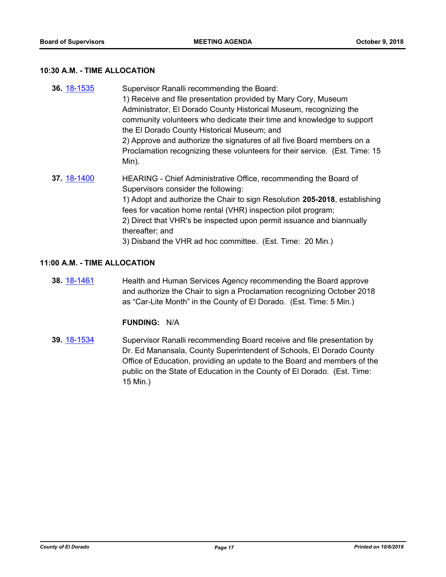#### **10:30 A.M. - TIME ALLOCATION**

**36.** [18-1535](http://eldorado.legistar.com/gateway.aspx?m=l&id=/matter.aspx?key=24886) Supervisor Ranalli recommending the Board: 1) Receive and file presentation provided by Mary Cory, Museum Administrator, El Dorado County Historical Museum, recognizing the community volunteers who dedicate their time and knowledge to support the El Dorado County Historical Museum; and 2) Approve and authorize the signatures of all five Board members on a Proclamation recognizing these volunteers for their service. (Est. Time: 15 Min). **37.** [18-1400](http://eldorado.legistar.com/gateway.aspx?m=l&id=/matter.aspx?key=24752) HEARING - Chief Administrative Office, recommending the Board of Supervisors consider the following: 1) Adopt and authorize the Chair to sign Resolution **205-2018**, establishing fees for vacation home rental (VHR) inspection pilot program; 2) Direct that VHR's be inspected upon permit issuance and biannually thereafter; and

3) Disband the VHR ad hoc committee. (Est. Time: 20 Min.)

#### **11:00 A.M. - TIME ALLOCATION**

**38.** [18-1461](http://eldorado.legistar.com/gateway.aspx?m=l&id=/matter.aspx?key=24813) Health and Human Services Agency recommending the Board approve and authorize the Chair to sign a Proclamation recognizing October 2018 as "Car-Lite Month" in the County of El Dorado. (Est. Time: 5 Min.)

## **FUNDING:** N/A

**39.** [18-1534](http://eldorado.legistar.com/gateway.aspx?m=l&id=/matter.aspx?key=24885) Supervisor Ranalli recommending Board receive and file presentation by Dr. Ed Manansala, County Superintendent of Schools, El Dorado County Office of Education, providing an update to the Board and members of the public on the State of Education in the County of El Dorado. (Est. Time: 15 Min.)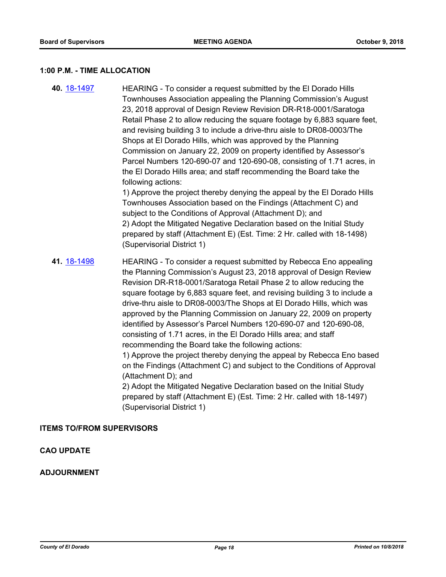#### **1:00 P.M. - TIME ALLOCATION**

**40.** [18-1497](http://eldorado.legistar.com/gateway.aspx?m=l&id=/matter.aspx?key=24848) HEARING - To consider a request submitted by the El Dorado Hills Townhouses Association appealing the Planning Commission's August 23, 2018 approval of Design Review Revision DR-R18-0001/Saratoga Retail Phase 2 to allow reducing the square footage by 6,883 square feet, and revising building 3 to include a drive-thru aisle to DR08-0003/The Shops at El Dorado Hills, which was approved by the Planning Commission on January 22, 2009 on property identified by Assessor's Parcel Numbers 120-690-07 and 120-690-08, consisting of 1.71 acres, in the El Dorado Hills area; and staff recommending the Board take the following actions: 1) Approve the project thereby denying the appeal by the El Dorado Hills Townhouses Association based on the Findings (Attachment C) and subject to the Conditions of Approval (Attachment D); and 2) Adopt the Mitigated Negative Declaration based on the Initial Study prepared by staff (Attachment E) (Est. Time: 2 Hr. called with 18-1498) (Supervisorial District 1) **41.** [18-1498](http://eldorado.legistar.com/gateway.aspx?m=l&id=/matter.aspx?key=24849) HEARING - To consider a request submitted by Rebecca Eno appealing the Planning Commission's August 23, 2018 approval of Design Review Revision DR-R18-0001/Saratoga Retail Phase 2 to allow reducing the square footage by 6,883 square feet, and revising building 3 to include a drive-thru aisle to DR08-0003/The Shops at El Dorado Hills, which was approved by the Planning Commission on January 22, 2009 on property identified by Assessor's Parcel Numbers 120-690-07 and 120-690-08, consisting of 1.71 acres, in the El Dorado Hills area; and staff recommending the Board take the following actions: 1) Approve the project thereby denying the appeal by Rebecca Eno based on the Findings (Attachment C) and subject to the Conditions of Approval

(Attachment D); and 2) Adopt the Mitigated Negative Declaration based on the Initial Study

prepared by staff (Attachment E) (Est. Time: 2 Hr. called with 18-1497) (Supervisorial District 1)

#### **ITEMS TO/FROM SUPERVISORS**

## **CAO UPDATE**

#### **ADJOURNMENT**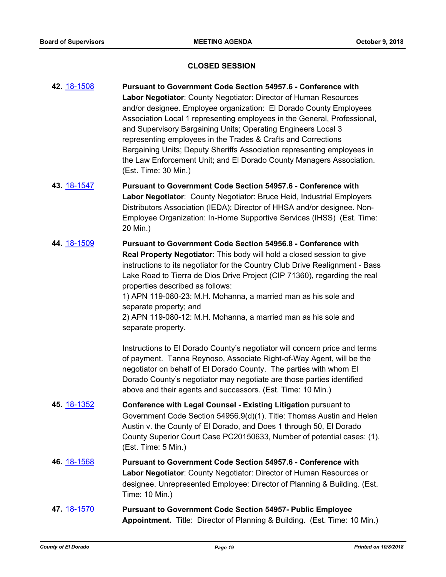#### **CLOSED SESSION**

**42.** [18-1508](http://eldorado.legistar.com/gateway.aspx?m=l&id=/matter.aspx?key=24859) **Pursuant to Government Code Section 54957.6 - Conference with Labor Negotiator**: County Negotiator: Director of Human Resources and/or designee. Employee organization: El Dorado County Employees Association Local 1 representing employees in the General, Professional, and Supervisory Bargaining Units; Operating Engineers Local 3 representing employees in the Trades & Crafts and Corrections Bargaining Units; Deputy Sheriffs Association representing employees in the Law Enforcement Unit; and El Dorado County Managers Association. (Est. Time: 30 Min.) **43.** [18-1547](http://eldorado.legistar.com/gateway.aspx?m=l&id=/matter.aspx?key=24898) **Pursuant to Government Code Section 54957.6 - Conference with Labor Negotiator**: County Negotiator: Bruce Heid, Industrial Employers Distributors Association (IEDA); Director of HHSA and/or designee. Non-Employee Organization: In-Home Supportive Services (IHSS) (Est. Time: 20 Min.) **44.** [18-1509](http://eldorado.legistar.com/gateway.aspx?m=l&id=/matter.aspx?key=24860) **Pursuant to Government Code Section 54956.8 - Conference with Real Property Negotiator**: This body will hold a closed session to give instructions to its negotiator for the Country Club Drive Realignment - Bass Lake Road to Tierra de Dios Drive Project (CIP 71360), regarding the real properties described as follows: 1) APN 119-080-23: M.H. Mohanna, a married man as his sole and separate property; and 2) APN 119-080-12: M.H. Mohanna, a married man as his sole and separate property. Instructions to El Dorado County's negotiator will concern price and terms of payment. Tanna Reynoso, Associate Right-of-Way Agent, will be the negotiator on behalf of El Dorado County. The parties with whom El Dorado County's negotiator may negotiate are those parties identified above and their agents and successors. (Est. Time: 10 Min.) **45.** [18-1352](http://eldorado.legistar.com/gateway.aspx?m=l&id=/matter.aspx?key=24704) **Conference with Legal Counsel - Existing Litigation** pursuant to Government Code Section 54956.9(d)(1). Title: Thomas Austin and Helen Austin v. the County of El Dorado, and Does 1 through 50, El Dorado County Superior Court Case PC20150633, Number of potential cases: (1). (Est. Time: 5 Min.) **46.** [18-1568](http://eldorado.legistar.com/gateway.aspx?m=l&id=/matter.aspx?key=24919) **Pursuant to Government Code Section 54957.6 - Conference with Labor Negotiator**: County Negotiator: Director of Human Resources or designee. Unrepresented Employee: Director of Planning & Building. (Est. Time: 10 Min.) **47.** [18-1570](http://eldorado.legistar.com/gateway.aspx?m=l&id=/matter.aspx?key=24921) **Pursuant to Government Code Section 54957- Public Employee Appointment.** Title: Director of Planning & Building. (Est. Time: 10 Min.)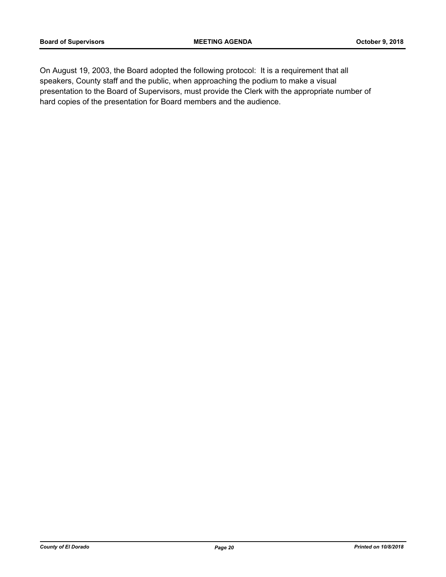On August 19, 2003, the Board adopted the following protocol: It is a requirement that all speakers, County staff and the public, when approaching the podium to make a visual presentation to the Board of Supervisors, must provide the Clerk with the appropriate number of hard copies of the presentation for Board members and the audience.